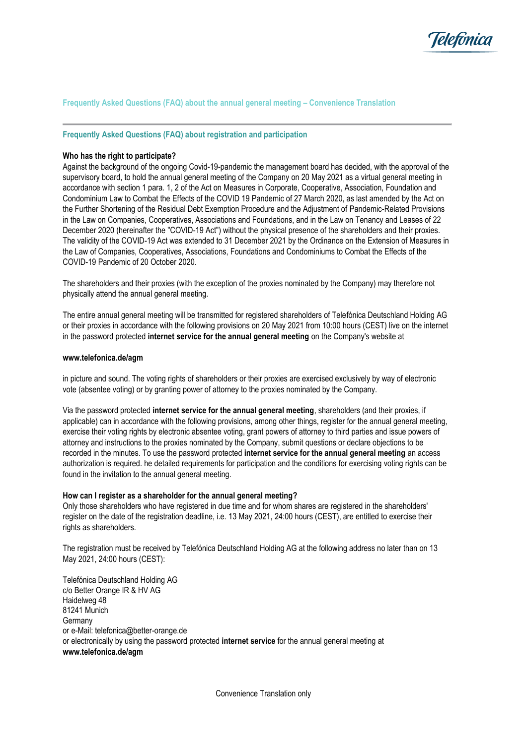

# **Frequently Asked Questions (FAQ) about the annual general meeting – Convenience Translation**

**Frequently Asked Questions (FAQ) about registration and participation**

#### **Who has the right to participate?**

Against the background of the ongoing Covid-19-pandemic the management board has decided, with the approval of the supervisory board, to hold the annual general meeting of the Company on 20 May 2021 as a virtual general meeting in accordance with section 1 para. 1, 2 of the Act on Measures in Corporate, Cooperative, Association, Foundation and Condominium Law to Combat the Effects of the COVID 19 Pandemic of 27 March 2020, as last amended by the Act on the Further Shortening of the Residual Debt Exemption Procedure and the Adjustment of Pandemic-Related Provisions in the Law on Companies, Cooperatives, Associations and Foundations, and in the Law on Tenancy and Leases of 22 December 2020 (hereinafter the "COVID-19 Act") without the physical presence of the shareholders and their proxies. The validity of the COVID-19 Act was extended to 31 December 2021 by the Ordinance on the Extension of Measures in the Law of Companies, Cooperatives, Associations, Foundations and Condominiums to Combat the Effects of the COVID-19 Pandemic of 20 October 2020.

The shareholders and their proxies (with the exception of the proxies nominated by the Company) may therefore not physically attend the annual general meeting.

The entire annual general meeting will be transmitted for registered shareholders of Telefónica Deutschland Holding AG or their proxies in accordance with the following provisions on 20 May 2021 from 10:00 hours (CEST) live on the internet in the password protected **internet service for the annual general meeting** on the Company's website at

#### **www.telefonica.de/agm**

in picture and sound. The voting rights of shareholders or their proxies are exercised exclusively by way of electronic vote (absentee voting) or by granting power of attorney to the proxies nominated by the Company.

Via the password protected **internet service for the annual general meeting**, shareholders (and their proxies, if applicable) can in accordance with the following provisions, among other things, register for the annual general meeting, exercise their voting rights by electronic absentee voting, grant powers of attorney to third parties and issue powers of attorney and instructions to the proxies nominated by the Company, submit questions or declare objections to be recorded in the minutes. To use the password protected **internet service for the annual general meeting** an access authorization is required. he detailed requirements for participation and the conditions for exercising voting rights can be found in the invitation to the annual general meeting.

#### **How can I register as a shareholder for the annual general meeting?**

Only those shareholders who have registered in due time and for whom shares are registered in the shareholders' register on the date of the registration deadline, i.e. 13 May 2021, 24:00 hours (CEST), are entitled to exercise their rights as shareholders.

The registration must be received by Telefónica Deutschland Holding AG at the following address no later than on 13 May 2021, 24:00 hours (CEST):

Telefónica Deutschland Holding AG c/o Better Orange IR & HV AG Haidelweg 48 81241 Munich Germany or e-Mail: telefonica@better-orange.de or electronically by using the password protected **internet service** for the annual general meeting at **www.telefonica.de/agm**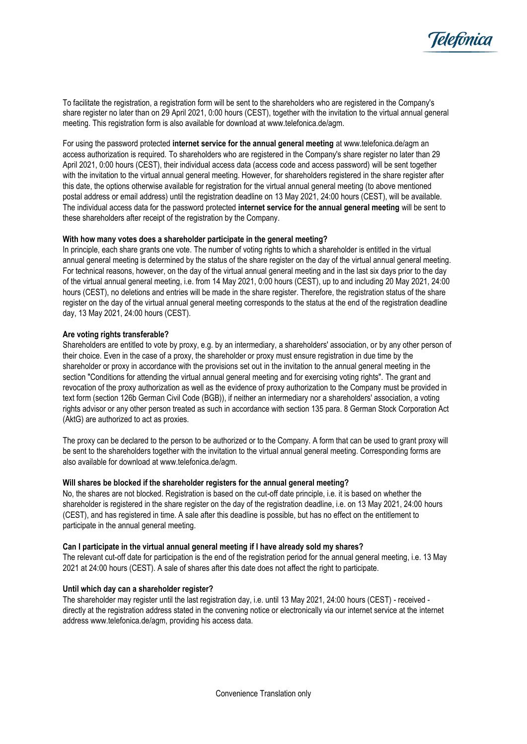

To facilitate the registration, a registration form will be sent to the shareholders who are registered in the Company's share register no later than on 29 April 2021, 0:00 hours (CEST), together with the invitation to the virtual annual general meeting. This registration form is also available for download at www.telefonica.de/agm.

For using the password protected **internet service for the annual general meeting** at www.telefonica.de/agm an access authorization is required. To shareholders who are registered in the Company's share register no later than 29 April 2021, 0:00 hours (CEST), their individual access data (access code and access password) will be sent together with the invitation to the virtual annual general meeting. However, for shareholders registered in the share register after this date, the options otherwise available for registration for the virtual annual general meeting (to above mentioned postal address or email address) until the registration deadline on 13 May 2021, 24:00 hours (CEST), will be available. The individual access data for the password protected **internet service for the annual general meeting** will be sent to these shareholders after receipt of the registration by the Company.

# **With how many votes does a shareholder participate in the general meeting?**

In principle, each share grants one vote. The number of voting rights to which a shareholder is entitled in the virtual annual general meeting is determined by the status of the share register on the day of the virtual annual general meeting. For technical reasons, however, on the day of the virtual annual general meeting and in the last six days prior to the day of the virtual annual general meeting, i.e. from 14 May 2021, 0:00 hours (CEST), up to and including 20 May 2021, 24:00 hours (CEST), no deletions and entries will be made in the share register. Therefore, the registration status of the share register on the day of the virtual annual general meeting corresponds to the status at the end of the registration deadline day, 13 May 2021, 24:00 hours (CEST).

### **Are voting rights transferable?**

Shareholders are entitled to vote by proxy, e.g. by an intermediary, a shareholders' association, or by any other person of their choice. Even in the case of a proxy, the shareholder or proxy must ensure registration in due time by the shareholder or proxy in accordance with the provisions set out in the invitation to the annual general meeting in the section "Conditions for attending the virtual annual general meeting and for exercising voting rights". The grant and revocation of the proxy authorization as well as the evidence of proxy authorization to the Company must be provided in text form (section 126b German Civil Code (BGB)), if neither an intermediary nor a shareholders' association, a voting rights advisor or any other person treated as such in accordance with section 135 para. 8 German Stock Corporation Act (AktG) are authorized to act as proxies.

The proxy can be declared to the person to be authorized or to the Company. A form that can be used to grant proxy will be sent to the shareholders together with the invitation to the virtual annual general meeting. Corresponding forms are also available for download at www.telefonica.de/agm.

#### **Will shares be blocked if the shareholder registers for the annual general meeting?**

No, the shares are not blocked. Registration is based on the cut-off date principle, i.e. it is based on whether the shareholder is registered in the share register on the day of the registration deadline, i.e. on 13 May 2021, 24:00 hours (CEST), and has registered in time. A sale after this deadline is possible, but has no effect on the entitlement to participate in the annual general meeting.

#### **Can I participate in the virtual annual general meeting if I have already sold my shares?**

The relevant cut-off date for participation is the end of the registration period for the annual general meeting, i.e. 13 May 2021 at 24:00 hours (CEST). A sale of shares after this date does not affect the right to participate.

#### **Until which day can a shareholder register?**

The shareholder may register until the last registration day, i.e. until 13 May 2021, 24:00 hours (CEST) - received directly at the registration address stated in the convening notice or electronically via our internet service at the internet address www.telefonica.de/agm, providing his access data.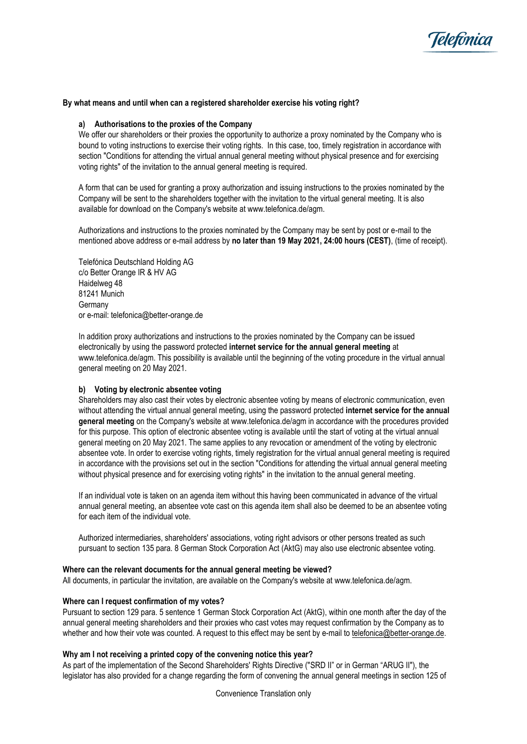

### **By what means and until when can a registered shareholder exercise his voting right?**

### **a) Authorisations to the proxies of the Company**

We offer our shareholders or their proxies the opportunity to authorize a proxy nominated by the Company who is bound to voting instructions to exercise their voting rights. In this case, too, timely registration in accordance with section "Conditions for attending the virtual annual general meeting without physical presence and for exercising voting rights" of the invitation to the annual general meeting is required.

A form that can be used for granting a proxy authorization and issuing instructions to the proxies nominated by the Company will be sent to the shareholders together with the invitation to the virtual general meeting. It is also available for download on the Company's website at www.telefonica.de/agm.

Authorizations and instructions to the proxies nominated by the Company may be sent by post or e-mail to the mentioned above address or e-mail address by **no later than 19 May 2021, 24:00 hours (CEST)**, (time of receipt).

Telefónica Deutschland Holding AG c/o Better Orange IR & HV AG Haidelweg 48 81241 Munich **Germany** or e-mail[: telefonica@better-orange.de](mailto:telefonica@better-orange.de)

In addition proxy authorizations and instructions to the proxies nominated by the Company can be issued electronically by using the password protected **internet service for the annual general meeting** at www.telefonica.de/agm. This possibility is available until the beginning of the voting procedure in the virtual annual general meeting on 20 May 2021.

#### **b) Voting by electronic absentee voting**

Shareholders may also cast their votes by electronic absentee voting by means of electronic communication, even without attending the virtual annual general meeting, using the password protected **internet service for the annual general meeting** on the Company's website at www.telefonica.de/agm in accordance with the procedures provided for this purpose. This option of electronic absentee voting is available until the start of voting at the virtual annual general meeting on 20 May 2021. The same applies to any revocation or amendment of the voting by electronic absentee vote. In order to exercise voting rights, timely registration for the virtual annual general meeting is required in accordance with the provisions set out in the section "Conditions for attending the virtual annual general meeting without physical presence and for exercising voting rights" in the invitation to the annual general meeting.

If an individual vote is taken on an agenda item without this having been communicated in advance of the virtual annual general meeting, an absentee vote cast on this agenda item shall also be deemed to be an absentee voting for each item of the individual vote.

Authorized intermediaries, shareholders' associations, voting right advisors or other persons treated as such pursuant to section 135 para. 8 German Stock Corporation Act (AktG) may also use electronic absentee voting.

#### **Where can the relevant documents for the annual general meeting be viewed?**

All documents, in particular the invitation, are available on the Company's website at www.telefonica.de/agm.

# **Where can I request confirmation of my votes?**

Pursuant to section 129 para. 5 sentence 1 German Stock Corporation Act (AktG), within one month after the day of the annual general meeting shareholders and their proxies who cast votes may request confirmation by the Company as to whether and how their vote was counted. A request to this effect may be sent by e-mail to [telefonica@better-orange.de.](mailto:telefonica@better-orange.de)

### **Why am I not receiving a printed copy of the convening notice this year?**

As part of the implementation of the Second Shareholders' Rights Directive ("SRD II" or in German "ARUG II"), the legislator has also provided for a change regarding the form of convening the annual general meetings in section 125 of

Convenience Translation only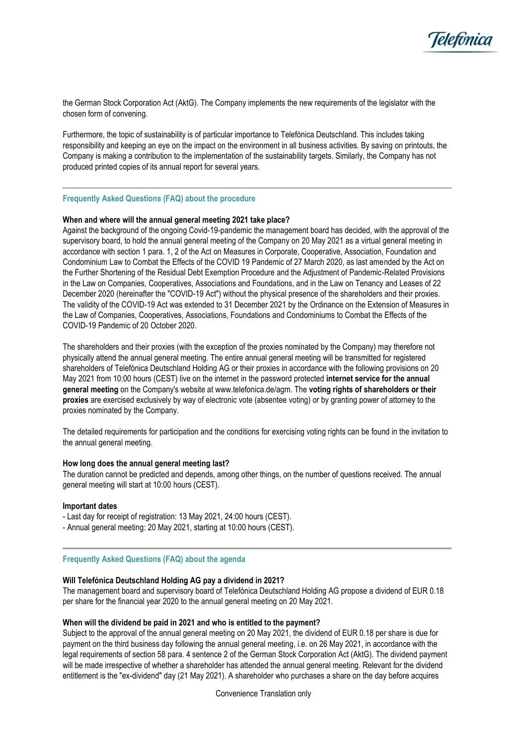

the German Stock Corporation Act (AktG). The Company implements the new requirements of the legislator with the chosen form of convening.

Furthermore, the topic of sustainability is of particular importance to Telefónica Deutschland. This includes taking responsibility and keeping an eye on the impact on the environment in all business activities. By saving on printouts, the Company is making a contribution to the implementation of the sustainability targets. Similarly, the Company has not produced printed copies of its annual report for several years.

### **Frequently Asked Questions (FAQ) about the procedure**

### **When and where will the annual general meeting 2021 take place?**

Against the background of the ongoing Covid-19-pandemic the management board has decided, with the approval of the supervisory board, to hold the annual general meeting of the Company on 20 May 2021 as a virtual general meeting in accordance with section 1 para. 1, 2 of the Act on Measures in Corporate, Cooperative, Association, Foundation and Condominium Law to Combat the Effects of the COVID 19 Pandemic of 27 March 2020, as last amended by the Act on the Further Shortening of the Residual Debt Exemption Procedure and the Adjustment of Pandemic-Related Provisions in the Law on Companies, Cooperatives, Associations and Foundations, and in the Law on Tenancy and Leases of 22 December 2020 (hereinafter the "COVID-19 Act") without the physical presence of the shareholders and their proxies. The validity of the COVID-19 Act was extended to 31 December 2021 by the Ordinance on the Extension of Measures in the Law of Companies, Cooperatives, Associations, Foundations and Condominiums to Combat the Effects of the COVID-19 Pandemic of 20 October 2020.

The shareholders and their proxies (with the exception of the proxies nominated by the Company) may therefore not physically attend the annual general meeting. The entire annual general meeting will be transmitted for registered shareholders of Telefónica Deutschland Holding AG or their proxies in accordance with the following provisions on 20 May 2021 from 10:00 hours (CEST) live on the internet in the password protected **internet service for the annual general meeting** on the Company's website at www.telefonica.de/agm. The **voting rights of shareholders or their proxies** are exercised exclusively by way of electronic vote (absentee voting) or by granting power of attorney to the proxies nominated by the Company.

The detailed requirements for participation and the conditions for exercising voting rights can be found in the invitation to the annual general meeting.

### **How long does the annual general meeting last?**

The duration cannot be predicted and depends, among other things, on the number of questions received. The annual general meeting will start at 10:00 hours (CEST).

#### **Important dates**

- Last day for receipt of registration: 13 May 2021, 24:00 hours (CEST).
- Annual general meeting: 20 May 2021, starting at 10:00 hours (CEST).

#### **Frequently Asked Questions (FAQ) about the agenda**

#### **Will Telefónica Deutschland Holding AG pay a dividend in 2021?**

The management board and supervisory board of Telefónica Deutschland Holding AG propose a dividend of EUR 0.18 per share for the financial year 2020 to the annual general meeting on 20 May 2021.

### **When will the dividend be paid in 2021 and who is entitled to the payment?**

Subject to the approval of the annual general meeting on 20 May 2021, the dividend of EUR 0.18 per share is due for payment on the third business day following the annual general meeting, i.e. on 26 May 2021, in accordance with the legal requirements of section 58 para. 4 sentence 2 of the German Stock Corporation Act (AktG). The dividend payment will be made irrespective of whether a shareholder has attended the annual general meeting. Relevant for the dividend entitlement is the "ex-dividend" day (21 May 2021). A shareholder who purchases a share on the day before acquires

Convenience Translation only